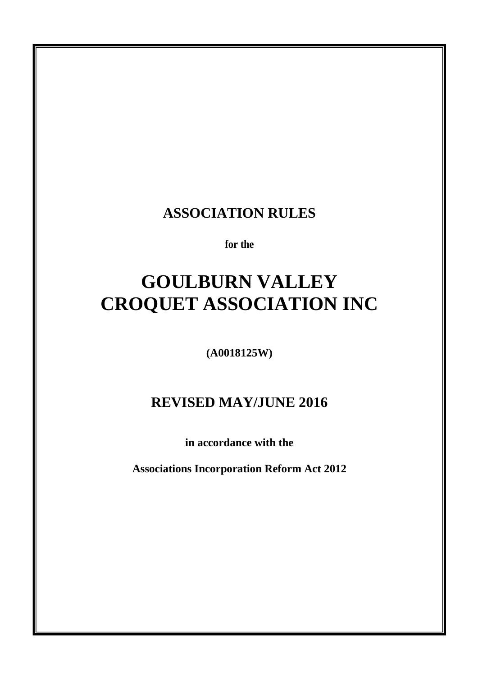# **ASSOCIATION RULES**

**for the**

# **GOULBURN VALLEY CROQUET ASSOCIATION INC**

**(A0018125W)** 

# **REVISED MAY/JUNE 2016**

**in accordance with the**

**Associations Incorporation Reform Act 2012**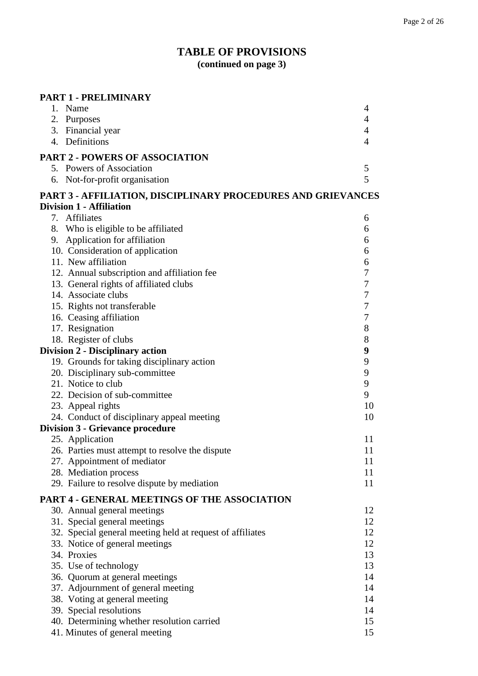# **TABLE OF PROVISIONS (continued on page 3)**

| <b>PART 1 - PRELIMINARY</b>                                  |                  |
|--------------------------------------------------------------|------------------|
| 1. Name                                                      | 4                |
| 2. Purposes                                                  | $\overline{4}$   |
| 3. Financial year                                            | $\overline{4}$   |
| 4. Definitions                                               | $\overline{4}$   |
| <b>PART 2 - POWERS OF ASSOCIATION</b>                        |                  |
| 5. Powers of Association                                     | 5                |
| 6. Not-for-profit organisation                               | 5                |
| PART 3 - AFFILIATION, DISCIPLINARY PROCEDURES AND GRIEVANCES |                  |
| <b>Division 1 - Affiliation</b>                              |                  |
| 7. Affiliates                                                | 6                |
| 8. Who is eligible to be affiliated                          | 6                |
| 9. Application for affiliation                               | 6                |
| 10. Consideration of application                             | 6                |
| 11. New affiliation                                          | 6                |
| 12. Annual subscription and affiliation fee                  | $\boldsymbol{7}$ |
| 13. General rights of affiliated clubs                       | $\boldsymbol{7}$ |
| 14. Associate clubs                                          | $\overline{7}$   |
| 15. Rights not transferable                                  | $\overline{7}$   |
| 16. Ceasing affiliation                                      | $\boldsymbol{7}$ |
| 17. Resignation                                              | 8                |
| 18. Register of clubs                                        | 8                |
| <b>Division 2 - Disciplinary action</b>                      | 9                |
| 19. Grounds for taking disciplinary action                   | 9                |
| 20. Disciplinary sub-committee                               | 9                |
| 21. Notice to club                                           | 9                |
| 22. Decision of sub-committee                                | 9                |
| 23. Appeal rights                                            | 10               |
| 24. Conduct of disciplinary appeal meeting                   | 10               |
| <b>Division 3 - Grievance procedure</b>                      |                  |
| 25. Application                                              | 11               |
| 26. Parties must attempt to resolve the dispute              | 11               |
| 27. Appointment of mediator                                  | 11               |
| 28. Mediation process                                        | 11               |
| 29. Failure to resolve dispute by mediation                  | 11               |
| PART 4 - GENERAL MEETINGS OF THE ASSOCIATION                 |                  |
| 30. Annual general meetings                                  | 12               |
| 31. Special general meetings                                 | 12               |
| 32. Special general meeting held at request of affiliates    | 12               |
| 33. Notice of general meetings                               | 12               |
| 34. Proxies                                                  | 13               |
| 35. Use of technology                                        | 13               |
| 36. Quorum at general meetings                               | 14               |
| 37. Adjournment of general meeting                           | 14               |
| 38. Voting at general meeting                                | 14               |
| 39. Special resolutions                                      | 14               |
| 40. Determining whether resolution carried                   | 15               |
| 41. Minutes of general meeting                               | 15               |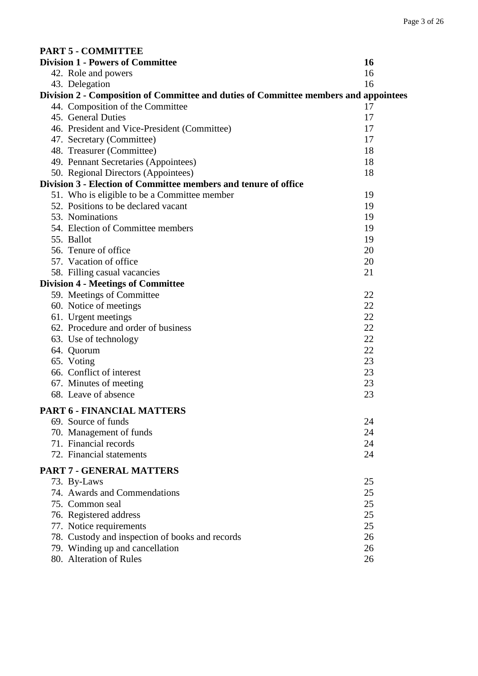| <b>PART 5 - COMMITTEE</b>                                                            |    |
|--------------------------------------------------------------------------------------|----|
| <b>Division 1 - Powers of Committee</b>                                              | 16 |
| 42. Role and powers                                                                  | 16 |
| 43. Delegation                                                                       | 16 |
| Division 2 - Composition of Committee and duties of Committee members and appointees |    |
| 44. Composition of the Committee                                                     | 17 |
| 45. General Duties                                                                   | 17 |
| 46. President and Vice-President (Committee)                                         | 17 |
| 47. Secretary (Committee)                                                            | 17 |
| 48. Treasurer (Committee)                                                            | 18 |
| 49. Pennant Secretaries (Appointees)                                                 | 18 |
| 50. Regional Directors (Appointees)                                                  | 18 |
| Division 3 - Election of Committee members and tenure of office                      |    |
| 51. Who is eligible to be a Committee member                                         | 19 |
| 52. Positions to be declared vacant                                                  | 19 |
| 53. Nominations                                                                      | 19 |
| 54. Election of Committee members                                                    | 19 |
| 55. Ballot                                                                           | 19 |
| 56. Tenure of office                                                                 | 20 |
| 57. Vacation of office                                                               | 20 |
| 58. Filling casual vacancies                                                         | 21 |
| <b>Division 4 - Meetings of Committee</b>                                            |    |
| 59. Meetings of Committee                                                            | 22 |
| 60. Notice of meetings                                                               | 22 |
| 61. Urgent meetings                                                                  | 22 |
| 62. Procedure and order of business                                                  | 22 |
| 63. Use of technology                                                                | 22 |
| 64. Quorum                                                                           | 22 |
| 65. Voting                                                                           | 23 |
| 66. Conflict of interest                                                             | 23 |
| 67. Minutes of meeting                                                               | 23 |
| 68. Leave of absence                                                                 | 23 |
| <b>PART 6 - FINANCIAL MATTERS</b>                                                    |    |
| 69. Source of funds                                                                  | 24 |
| 70. Management of funds                                                              | 24 |
| 71. Financial records                                                                | 24 |
| 72. Financial statements                                                             | 24 |
|                                                                                      |    |
| <b>PART 7 - GENERAL MATTERS</b>                                                      |    |
| 73. By-Laws                                                                          | 25 |
| 74. Awards and Commendations                                                         | 25 |
| 75. Common seal                                                                      | 25 |
| 76. Registered address                                                               | 25 |
| 77. Notice requirements                                                              | 25 |
| 78. Custody and inspection of books and records                                      | 26 |
| 79. Winding up and cancellation                                                      | 26 |
| 80. Alteration of Rules                                                              | 26 |
|                                                                                      |    |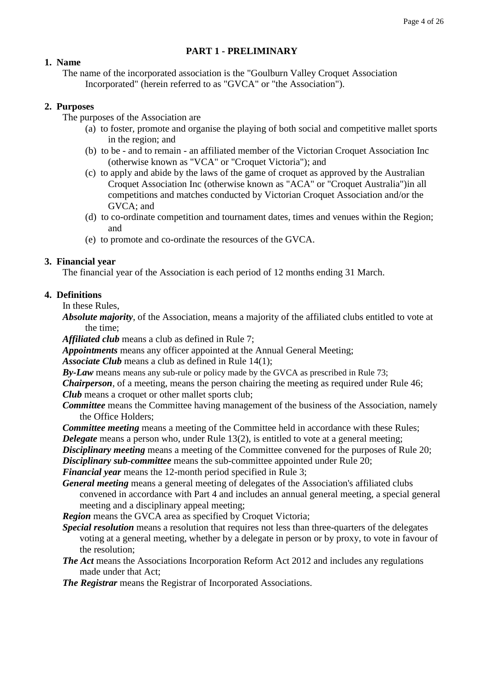#### **PART 1 - PRELIMINARY**

#### **1. Name**

The name of the incorporated association is the "Goulburn Valley Croquet Association Incorporated" (herein referred to as "GVCA" or "the Association").

#### **2. Purposes**

The purposes of the Association are

- (a) to foster, promote and organise the playing of both social and competitive mallet sports in the region; and
- (b) to be and to remain an affiliated member of the Victorian Croquet Association Inc (otherwise known as "VCA" or "Croquet Victoria"); and
- (c) to apply and abide by the laws of the game of croquet as approved by the Australian Croquet Association Inc (otherwise known as "ACA" or "Croquet Australia")in all competitions and matches conducted by Victorian Croquet Association and/or the GVCA; and
- (d) to co-ordinate competition and tournament dates, times and venues within the Region; and
- (e) to promote and co-ordinate the resources of the GVCA.

#### **3. Financial year**

The financial year of the Association is each period of 12 months ending 31 March.

#### **4. Definitions**

In these Rules,

*Absolute majority*, of the Association, means a majority of the affiliated clubs entitled to vote at the time;

*Affiliated club* means a club as defined in Rule 7;

*Appointments* means any officer appointed at the Annual General Meeting;

*Associate Club* means a club as defined in Rule 14(1);

*By-Law* means means any sub-rule or policy made by the GVCA as prescribed in Rule 73;

*Chairperson*, of a meeting, means the person chairing the meeting as required under Rule 46; *Club* means a croquet or other mallet sports club;

*Committee* means the Committee having management of the business of the Association, namely the Office Holders;

*Committee meeting* means a meeting of the Committee held in accordance with these Rules; *Delegate* means a person who, under Rule 13(2), is entitled to vote at a general meeting;

**Disciplinary meeting** means a meeting of the Committee convened for the purposes of Rule 20;

*Disciplinary sub-committee* means the sub-committee appointed under Rule 20;

*Financial year* means the 12-month period specified in Rule 3;

*General meeting* means a general meeting of delegates of the Association's affiliated clubs convened in accordance with Part 4 and includes an annual general meeting, a special general meeting and a disciplinary appeal meeting;

*Region* means the GVCA area as specified by Croquet Victoria;

- *Special resolution* means a resolution that requires not less than three-quarters of the delegates voting at a general meeting, whether by a delegate in person or by proxy, to vote in favour of the resolution;
- *The Act* means the Associations Incorporation Reform Act 2012 and includes any regulations made under that Act;

*The Registrar* means the Registrar of Incorporated Associations.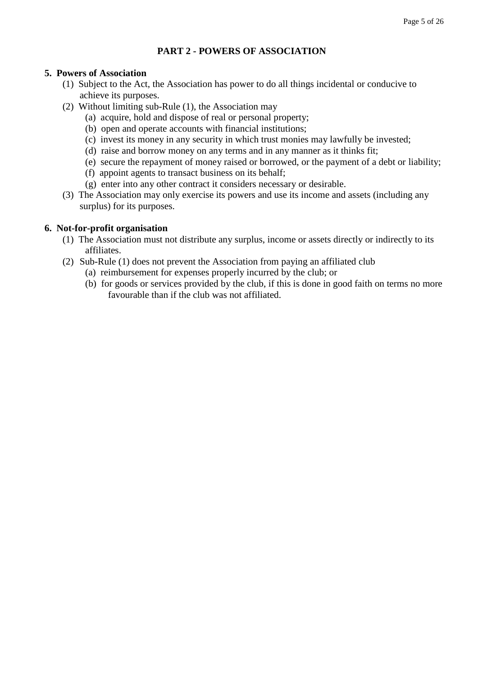# **PART 2 - POWERS OF ASSOCIATION**

#### **5. Powers of Association**

- (1) Subject to the Act, the Association has power to do all things incidental or conducive to achieve its purposes.
- (2) Without limiting sub-Rule (1), the Association may
	- (a) acquire, hold and dispose of real or personal property;
	- (b) open and operate accounts with financial institutions;
	- (c) invest its money in any security in which trust monies may lawfully be invested;
	- (d) raise and borrow money on any terms and in any manner as it thinks fit;
	- (e) secure the repayment of money raised or borrowed, or the payment of a debt or liability;
	- (f) appoint agents to transact business on its behalf;
	- (g) enter into any other contract it considers necessary or desirable.
- (3) The Association may only exercise its powers and use its income and assets (including any surplus) for its purposes.

#### **6. Not-for-profit organisation**

- (1) The Association must not distribute any surplus, income or assets directly or indirectly to its affiliates.
- (2) Sub-Rule (1) does not prevent the Association from paying an affiliated club
	- (a) reimbursement for expenses properly incurred by the club; or
	- (b) for goods or services provided by the club, if this is done in good faith on terms no more favourable than if the club was not affiliated.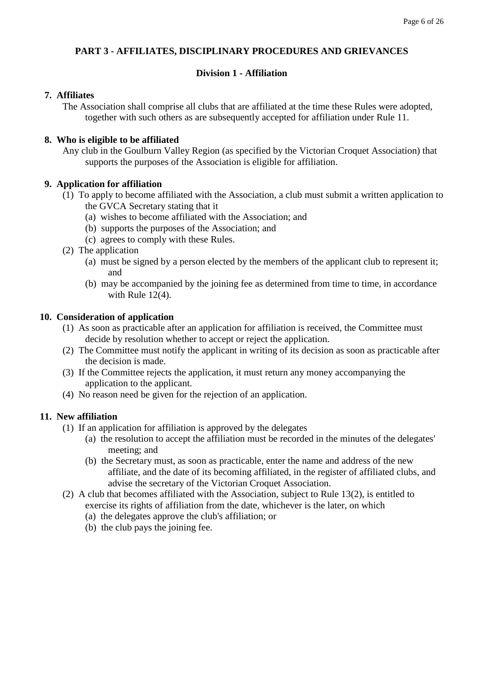# **PART 3 - AFFILIATES, DISCIPLINARY PROCEDURES AND GRIEVANCES**

# **Division 1 - Affiliation**

#### **7. Affiliates**

The Association shall comprise all clubs that are affiliated at the time these Rules were adopted, together with such others as are subsequently accepted for affiliation under Rule 11.

#### **8. Who is eligible to be affiliated**

Any club in the Goulburn Valley Region (as specified by the Victorian Croquet Association) that supports the purposes of the Association is eligible for affiliation.

#### **9. Application for affiliation**

- (1) To apply to become affiliated with the Association, a club must submit a written application to the GVCA Secretary stating that it
	- (a) wishes to become affiliated with the Association; and
	- (b) supports the purposes of the Association; and
	- (c) agrees to comply with these Rules.
- (2) The application
	- (a) must be signed by a person elected by the members of the applicant club to represent it; and
	- (b) may be accompanied by the joining fee as determined from time to time, in accordance with Rule 12(4).

#### **10. Consideration of application**

- (1) As soon as practicable after an application for affiliation is received, the Committee must decide by resolution whether to accept or reject the application.
- (2) The Committee must notify the applicant in writing of its decision as soon as practicable after the decision is made.
- (3) If the Committee rejects the application, it must return any money accompanying the application to the applicant.
- (4) No reason need be given for the rejection of an application.

#### **11. New affiliation**

- (1) If an application for affiliation is approved by the delegates
	- (a) the resolution to accept the affiliation must be recorded in the minutes of the delegates' meeting; and
	- (b) the Secretary must, as soon as practicable, enter the name and address of the new affiliate, and the date of its becoming affiliated, in the register of affiliated clubs, and advise the secretary of the Victorian Croquet Association.
- (2) A club that becomes affiliated with the Association, subject to Rule 13(2), is entitled to exercise its rights of affiliation from the date, whichever is the later, on which (a) the delegates approve the club's affiliation; or
	- (b) the club pays the joining fee.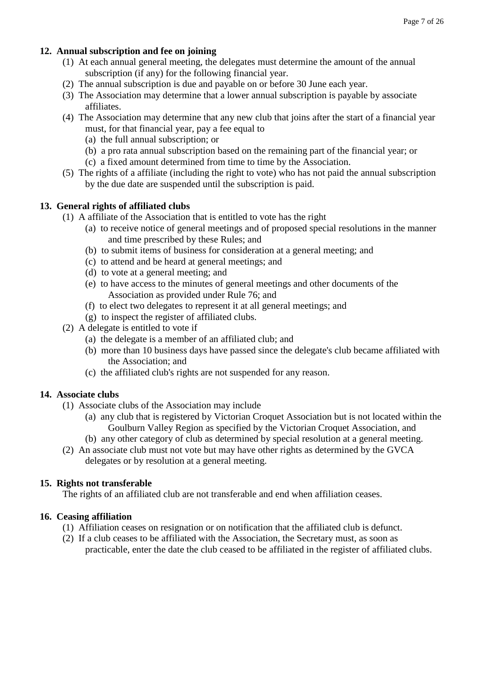# **12. Annual subscription and fee on joining**

- (1) At each annual general meeting, the delegates must determine the amount of the annual subscription (if any) for the following financial year.
- (2) The annual subscription is due and payable on or before 30 June each year.
- (3) The Association may determine that a lower annual subscription is payable by associate affiliates.
- (4) The Association may determine that any new club that joins after the start of a financial year must, for that financial year, pay a fee equal to
	- (a) the full annual subscription; or
	- (b) a pro rata annual subscription based on the remaining part of the financial year; or
	- (c) a fixed amount determined from time to time by the Association.
- (5) The rights of a affiliate (including the right to vote) who has not paid the annual subscription by the due date are suspended until the subscription is paid.

# **13. General rights of affiliated clubs**

- (1) A affiliate of the Association that is entitled to vote has the right
	- (a) to receive notice of general meetings and of proposed special resolutions in the manner and time prescribed by these Rules; and
	- (b) to submit items of business for consideration at a general meeting; and
	- (c) to attend and be heard at general meetings; and
	- (d) to vote at a general meeting; and
	- (e) to have access to the minutes of general meetings and other documents of the Association as provided under Rule 76; and
	- (f) to elect two delegates to represent it at all general meetings; and
	- (g) to inspect the register of affiliated clubs.
- (2) A delegate is entitled to vote if
	- (a) the delegate is a member of an affiliated club; and
	- (b) more than 10 business days have passed since the delegate's club became affiliated with the Association; and
	- (c) the affiliated club's rights are not suspended for any reason.

# **14. Associate clubs**

- (1) Associate clubs of the Association may include
	- (a) any club that is registered by Victorian Croquet Association but is not located within the Goulburn Valley Region as specified by the Victorian Croquet Association, and
	- (b) any other category of club as determined by special resolution at a general meeting.
- (2) An associate club must not vote but may have other rights as determined by the GVCA delegates or by resolution at a general meeting.

# **15. Rights not transferable**

The rights of an affiliated club are not transferable and end when affiliation ceases.

# **16. Ceasing affiliation**

- (1) Affiliation ceases on resignation or on notification that the affiliated club is defunct.
- (2) If a club ceases to be affiliated with the Association, the Secretary must, as soon as practicable, enter the date the club ceased to be affiliated in the register of affiliated clubs.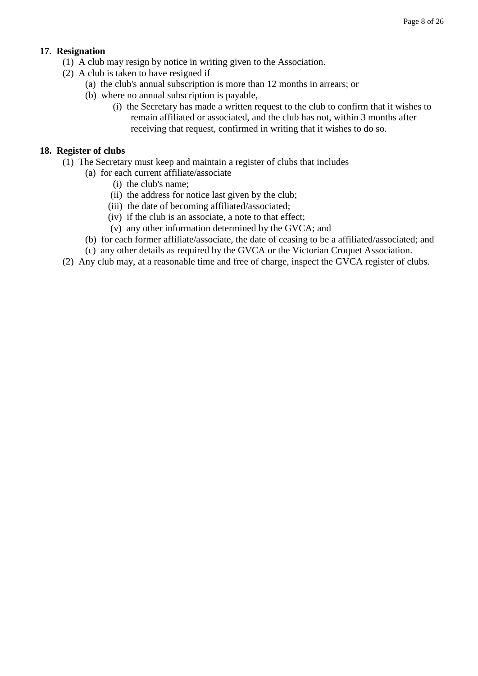# **17. Resignation**

- (1) A club may resign by notice in writing given to the Association.
- (2) A club is taken to have resigned if
	- (a) the club's annual subscription is more than 12 months in arrears; or
	- (b) where no annual subscription is payable,
		- (i) the Secretary has made a written request to the club to confirm that it wishes to remain affiliated or associated, and the club has not, within 3 months after receiving that request, confirmed in writing that it wishes to do so.

## **18. Register of clubs**

- (1) The Secretary must keep and maintain a register of clubs that includes
	- (a) for each current affiliate/associate
		- (i) the club's name;
		- (ii) the address for notice last given by the club;
		- (iii) the date of becoming affiliated/associated;
		- (iv) if the club is an associate, a note to that effect;
		- (v) any other information determined by the GVCA; and
	- (b) for each former affiliate/associate, the date of ceasing to be a affiliated/associated; and
	- (c) any other details as required by the GVCA or the Victorian Croquet Association.
- (2) Any club may, at a reasonable time and free of charge, inspect the GVCA register of clubs.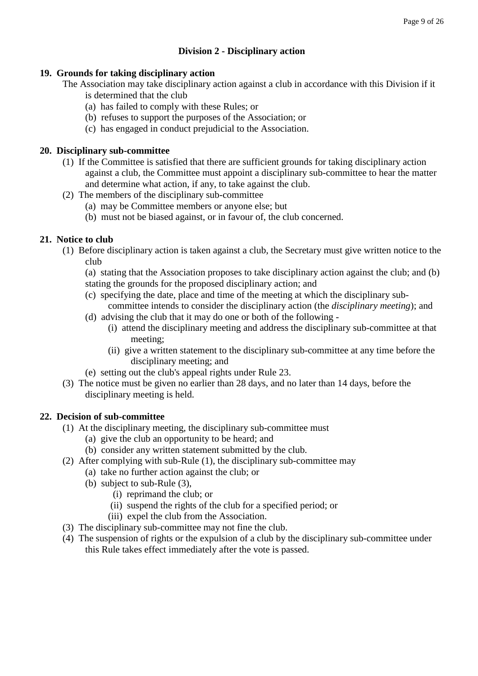# **Division 2 - Disciplinary action**

#### **19. Grounds for taking disciplinary action**

The Association may take disciplinary action against a club in accordance with this Division if it

- is determined that the club
- (a) has failed to comply with these Rules; or
- (b) refuses to support the purposes of the Association; or
- (c) has engaged in conduct prejudicial to the Association.

#### **20. Disciplinary sub-committee**

- (1) If the Committee is satisfied that there are sufficient grounds for taking disciplinary action against a club, the Committee must appoint a disciplinary sub-committee to hear the matter and determine what action, if any, to take against the club.
- (2) The members of the disciplinary sub-committee
	- (a) may be Committee members or anyone else; but
	- (b) must not be biased against, or in favour of, the club concerned.

# **21. Notice to club**

- (1) Before disciplinary action is taken against a club, the Secretary must give written notice to the club
	- (a) stating that the Association proposes to take disciplinary action against the club; and (b) stating the grounds for the proposed disciplinary action; and
	- (c) specifying the date, place and time of the meeting at which the disciplinary subcommittee intends to consider the disciplinary action (the *disciplinary meeting*); and
	- (d) advising the club that it may do one or both of the following
		- (i) attend the disciplinary meeting and address the disciplinary sub-committee at that meeting;
		- (ii) give a written statement to the disciplinary sub-committee at any time before the disciplinary meeting; and
	- (e) setting out the club's appeal rights under Rule 23.
- (3) The notice must be given no earlier than 28 days, and no later than 14 days, before the disciplinary meeting is held.

#### **22. Decision of sub-committee**

- (1) At the disciplinary meeting, the disciplinary sub-committee must
	- (a) give the club an opportunity to be heard; and
	- (b) consider any written statement submitted by the club.
- (2) After complying with sub-Rule (1), the disciplinary sub-committee may
	- (a) take no further action against the club; or
	- (b) subject to sub-Rule (3),
		- (i) reprimand the club; or
		- (ii) suspend the rights of the club for a specified period; or
		- (iii) expel the club from the Association.
- (3) The disciplinary sub-committee may not fine the club.
- (4) The suspension of rights or the expulsion of a club by the disciplinary sub-committee under this Rule takes effect immediately after the vote is passed.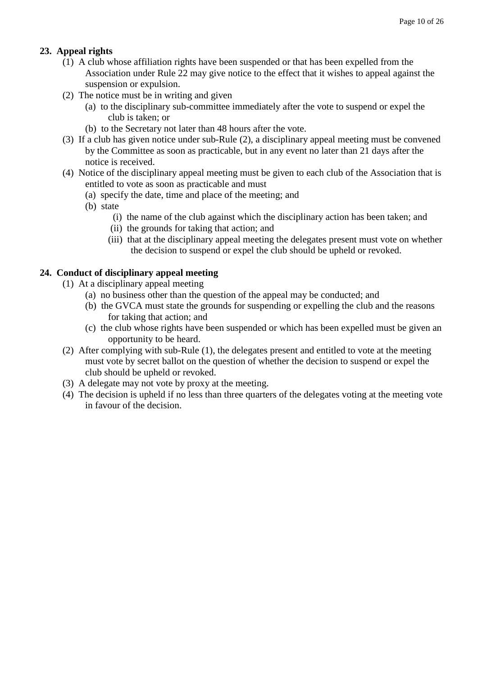# **23. Appeal rights**

- (1) A club whose affiliation rights have been suspended or that has been expelled from the Association under Rule 22 may give notice to the effect that it wishes to appeal against the suspension or expulsion.
- (2) The notice must be in writing and given
	- (a) to the disciplinary sub-committee immediately after the vote to suspend or expel the club is taken; or
	- (b) to the Secretary not later than 48 hours after the vote.
- (3) If a club has given notice under sub-Rule (2), a disciplinary appeal meeting must be convened by the Committee as soon as practicable, but in any event no later than 21 days after the notice is received.
- (4) Notice of the disciplinary appeal meeting must be given to each club of the Association that is entitled to vote as soon as practicable and must
	- (a) specify the date, time and place of the meeting; and
	- (b) state
		- (i) the name of the club against which the disciplinary action has been taken; and
		- (ii) the grounds for taking that action; and
		- (iii) that at the disciplinary appeal meeting the delegates present must vote on whether the decision to suspend or expel the club should be upheld or revoked.

#### **24. Conduct of disciplinary appeal meeting**

- (1) At a disciplinary appeal meeting
	- (a) no business other than the question of the appeal may be conducted; and
	- (b) the GVCA must state the grounds for suspending or expelling the club and the reasons for taking that action; and
	- (c) the club whose rights have been suspended or which has been expelled must be given an opportunity to be heard.
- (2) After complying with sub-Rule (1), the delegates present and entitled to vote at the meeting must vote by secret ballot on the question of whether the decision to suspend or expel the club should be upheld or revoked.
- (3) A delegate may not vote by proxy at the meeting.
- (4) The decision is upheld if no less than three quarters of the delegates voting at the meeting vote in favour of the decision.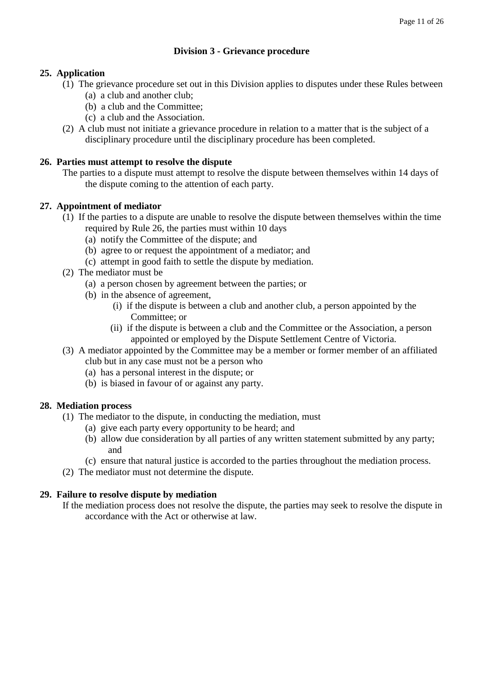# **Division 3 - Grievance procedure**

# **25. Application**

- (1) The grievance procedure set out in this Division applies to disputes under these Rules between
	- (a) a club and another club;
	- (b) a club and the Committee;
	- (c) a club and the Association.
- (2) A club must not initiate a grievance procedure in relation to a matter that is the subject of a disciplinary procedure until the disciplinary procedure has been completed.

# **26. Parties must attempt to resolve the dispute**

The parties to a dispute must attempt to resolve the dispute between themselves within 14 days of the dispute coming to the attention of each party.

# **27. Appointment of mediator**

- (1) If the parties to a dispute are unable to resolve the dispute between themselves within the time required by Rule 26, the parties must within 10 days
	- (a) notify the Committee of the dispute; and
	- (b) agree to or request the appointment of a mediator; and
	- (c) attempt in good faith to settle the dispute by mediation.
- (2) The mediator must be
	- (a) a person chosen by agreement between the parties; or
	- (b) in the absence of agreement,
		- (i) if the dispute is between a club and another club, a person appointed by the Committee; or
		- (ii) if the dispute is between a club and the Committee or the Association, a person appointed or employed by the Dispute Settlement Centre of Victoria.
- (3) A mediator appointed by the Committee may be a member or former member of an affiliated club but in any case must not be a person who
	- (a) has a personal interest in the dispute; or
	- (b) is biased in favour of or against any party.

# **28. Mediation process**

- (1) The mediator to the dispute, in conducting the mediation, must
	- (a) give each party every opportunity to be heard; and
	- (b) allow due consideration by all parties of any written statement submitted by any party; and
	- (c) ensure that natural justice is accorded to the parties throughout the mediation process.
- (2) The mediator must not determine the dispute.

# **29. Failure to resolve dispute by mediation**

If the mediation process does not resolve the dispute, the parties may seek to resolve the dispute in accordance with the Act or otherwise at law.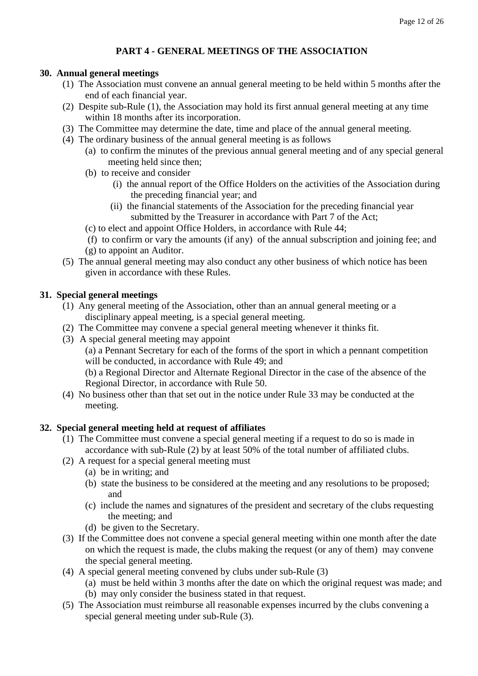# **PART 4 - GENERAL MEETINGS OF THE ASSOCIATION**

## **30. Annual general meetings**

- (1) The Association must convene an annual general meeting to be held within 5 months after the end of each financial year.
- (2) Despite sub-Rule (1), the Association may hold its first annual general meeting at any time within 18 months after its incorporation.
- (3) The Committee may determine the date, time and place of the annual general meeting.
- (4) The ordinary business of the annual general meeting is as follows
	- (a) to confirm the minutes of the previous annual general meeting and of any special general meeting held since then;
	- (b) to receive and consider
		- (i) the annual report of the Office Holders on the activities of the Association during the preceding financial year; and
		- (ii) the financial statements of the Association for the preceding financial year submitted by the Treasurer in accordance with Part 7 of the Act;
	- (c) to elect and appoint Office Holders, in accordance with Rule 44;

(f) to confirm or vary the amounts (if any) of the annual subscription and joining fee; and (g) to appoint an Auditor.

(5) The annual general meeting may also conduct any other business of which notice has been given in accordance with these Rules.

# **31. Special general meetings**

- (1) Any general meeting of the Association, other than an annual general meeting or a disciplinary appeal meeting, is a special general meeting.
- (2) The Committee may convene a special general meeting whenever it thinks fit.
- (3) A special general meeting may appoint

(a) a Pennant Secretary for each of the forms of the sport in which a pennant competition will be conducted, in accordance with Rule 49; and

(b) a Regional Director and Alternate Regional Director in the case of the absence of the Regional Director, in accordance with Rule 50.

(4) No business other than that set out in the notice under Rule 33 may be conducted at the meeting.

# **32. Special general meeting held at request of affiliates**

- (1) The Committee must convene a special general meeting if a request to do so is made in accordance with sub-Rule (2) by at least 50% of the total number of affiliated clubs.
- (2) A request for a special general meeting must
	- (a) be in writing; and
	- (b) state the business to be considered at the meeting and any resolutions to be proposed; and
	- (c) include the names and signatures of the president and secretary of the clubs requesting the meeting; and
	- (d) be given to the Secretary.
- (3) If the Committee does not convene a special general meeting within one month after the date on which the request is made, the clubs making the request (or any of them) may convene the special general meeting.
- (4) A special general meeting convened by clubs under sub-Rule (3)
	- (a) must be held within 3 months after the date on which the original request was made; and (b) may only consider the business stated in that request.
- (5) The Association must reimburse all reasonable expenses incurred by the clubs convening a special general meeting under sub-Rule (3).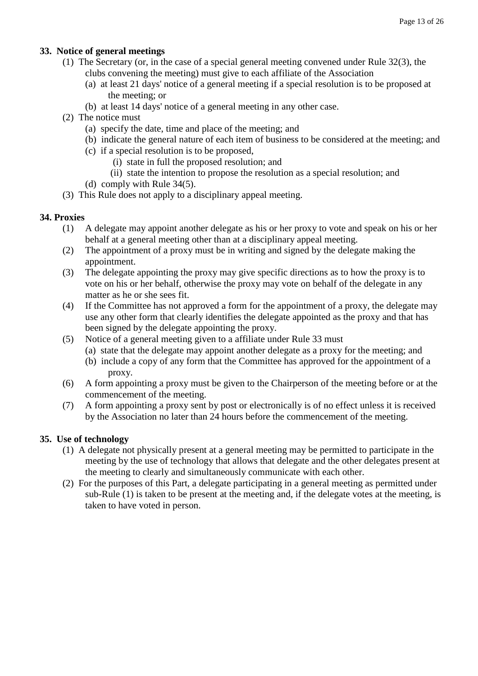# **33. Notice of general meetings**

- (1) The Secretary (or, in the case of a special general meeting convened under Rule 32(3), the clubs convening the meeting) must give to each affiliate of the Association
	- (a) at least 21 days' notice of a general meeting if a special resolution is to be proposed at the meeting; or
	- (b) at least 14 days' notice of a general meeting in any other case.
- (2) The notice must
	- (a) specify the date, time and place of the meeting; and
	- (b) indicate the general nature of each item of business to be considered at the meeting; and
	- (c) if a special resolution is to be proposed,
		- (i) state in full the proposed resolution; and
		- (ii) state the intention to propose the resolution as a special resolution; and
	- (d) comply with Rule 34(5).
- (3) This Rule does not apply to a disciplinary appeal meeting.

# **34. Proxies**

- (1) A delegate may appoint another delegate as his or her proxy to vote and speak on his or her behalf at a general meeting other than at a disciplinary appeal meeting.
- (2) The appointment of a proxy must be in writing and signed by the delegate making the appointment.
- (3) The delegate appointing the proxy may give specific directions as to how the proxy is to vote on his or her behalf, otherwise the proxy may vote on behalf of the delegate in any matter as he or she sees fit.
- (4) If the Committee has not approved a form for the appointment of a proxy, the delegate may use any other form that clearly identifies the delegate appointed as the proxy and that has been signed by the delegate appointing the proxy.
- (5) Notice of a general meeting given to a affiliate under Rule 33 must
	- (a) state that the delegate may appoint another delegate as a proxy for the meeting; and
	- (b) include a copy of any form that the Committee has approved for the appointment of a proxy.
- (6) A form appointing a proxy must be given to the Chairperson of the meeting before or at the commencement of the meeting.
- (7) A form appointing a proxy sent by post or electronically is of no effect unless it is received by the Association no later than 24 hours before the commencement of the meeting.

# **35. Use of technology**

- (1) A delegate not physically present at a general meeting may be permitted to participate in the meeting by the use of technology that allows that delegate and the other delegates present at the meeting to clearly and simultaneously communicate with each other.
- (2) For the purposes of this Part, a delegate participating in a general meeting as permitted under sub-Rule (1) is taken to be present at the meeting and, if the delegate votes at the meeting, is taken to have voted in person.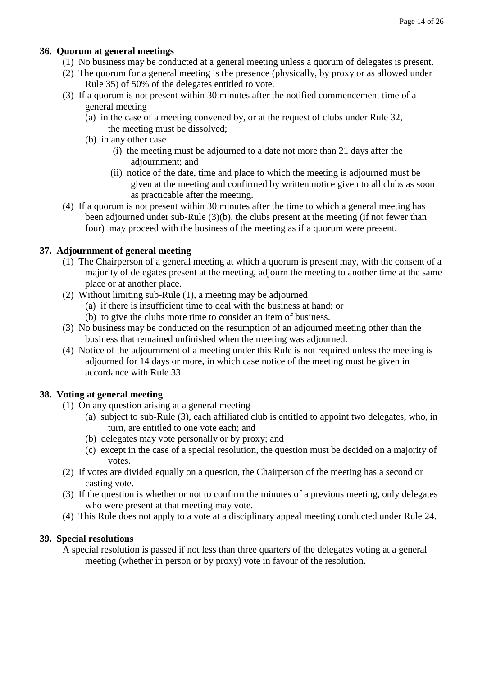# **36. Quorum at general meetings**

- (1) No business may be conducted at a general meeting unless a quorum of delegates is present.
- (2) The quorum for a general meeting is the presence (physically, by proxy or as allowed under Rule 35) of 50% of the delegates entitled to vote.
- (3) If a quorum is not present within 30 minutes after the notified commencement time of a general meeting
	- (a) in the case of a meeting convened by, or at the request of clubs under Rule 32, the meeting must be dissolved;
	- (b) in any other case
		- (i) the meeting must be adjourned to a date not more than 21 days after the adjournment; and
		- (ii) notice of the date, time and place to which the meeting is adjourned must be given at the meeting and confirmed by written notice given to all clubs as soon as practicable after the meeting.
- (4) If a quorum is not present within 30 minutes after the time to which a general meeting has been adjourned under sub-Rule (3)(b), the clubs present at the meeting (if not fewer than four) may proceed with the business of the meeting as if a quorum were present.

# **37. Adjournment of general meeting**

- (1) The Chairperson of a general meeting at which a quorum is present may, with the consent of a majority of delegates present at the meeting, adjourn the meeting to another time at the same place or at another place.
- (2) Without limiting sub-Rule (1), a meeting may be adjourned
	- (a) if there is insufficient time to deal with the business at hand; or
	- (b) to give the clubs more time to consider an item of business.
- (3) No business may be conducted on the resumption of an adjourned meeting other than the business that remained unfinished when the meeting was adjourned.
- (4) Notice of the adjournment of a meeting under this Rule is not required unless the meeting is adjourned for 14 days or more, in which case notice of the meeting must be given in accordance with Rule 33.

# **38. Voting at general meeting**

- (1) On any question arising at a general meeting
	- (a) subject to sub-Rule (3), each affiliated club is entitled to appoint two delegates, who, in turn, are entitled to one vote each; and
	- (b) delegates may vote personally or by proxy; and
	- (c) except in the case of a special resolution, the question must be decided on a majority of votes.
- (2) If votes are divided equally on a question, the Chairperson of the meeting has a second or casting vote.
- (3) If the question is whether or not to confirm the minutes of a previous meeting, only delegates who were present at that meeting may vote.
- (4) This Rule does not apply to a vote at a disciplinary appeal meeting conducted under Rule 24.

# **39. Special resolutions**

A special resolution is passed if not less than three quarters of the delegates voting at a general meeting (whether in person or by proxy) vote in favour of the resolution.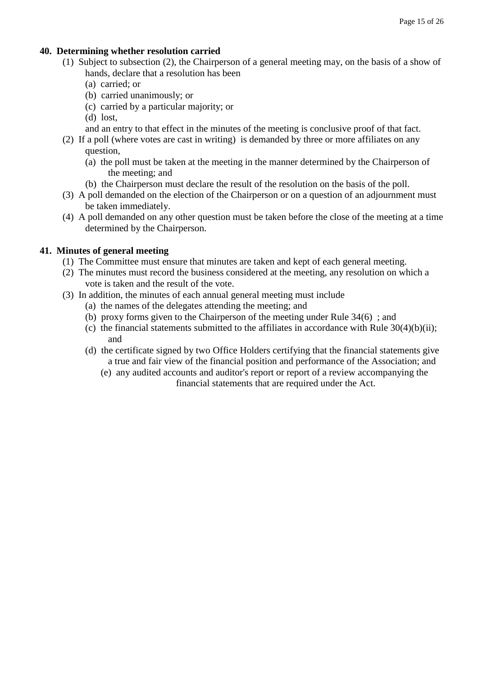#### **40. Determining whether resolution carried**

- (1) Subject to subsection (2), the Chairperson of a general meeting may, on the basis of a show of hands, declare that a resolution has been
	- (a) carried; or
	- (b) carried unanimously; or
	- (c) carried by a particular majority; or
	- (d) lost,

and an entry to that effect in the minutes of the meeting is conclusive proof of that fact.

- (2) If a poll (where votes are cast in writing) is demanded by three or more affiliates on any question,
	- (a) the poll must be taken at the meeting in the manner determined by the Chairperson of the meeting; and
	- (b) the Chairperson must declare the result of the resolution on the basis of the poll.
- (3) A poll demanded on the election of the Chairperson or on a question of an adjournment must be taken immediately.
- (4) A poll demanded on any other question must be taken before the close of the meeting at a time determined by the Chairperson.

#### **41. Minutes of general meeting**

- (1) The Committee must ensure that minutes are taken and kept of each general meeting.
- (2) The minutes must record the business considered at the meeting, any resolution on which a vote is taken and the result of the vote.
- (3) In addition, the minutes of each annual general meeting must include
	- (a) the names of the delegates attending the meeting; and
	- (b) proxy forms given to the Chairperson of the meeting under Rule 34(6) ; and
	- (c) the financial statements submitted to the affiliates in accordance with Rule  $30(4)(b)(ii)$ ; and
	- (d) the certificate signed by two Office Holders certifying that the financial statements give a true and fair view of the financial position and performance of the Association; and
		- (e) any audited accounts and auditor's report or report of a review accompanying the financial statements that are required under the Act.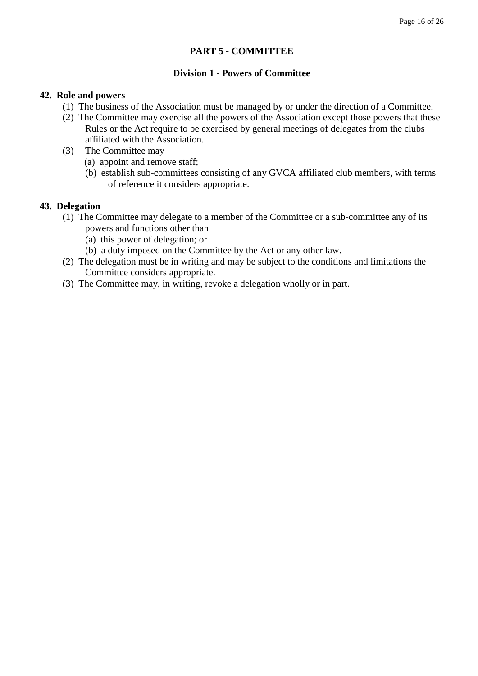#### **PART 5 - COMMITTEE**

#### **Division 1 - Powers of Committee**

#### **42. Role and powers**

- (1) The business of the Association must be managed by or under the direction of a Committee.
- (2) The Committee may exercise all the powers of the Association except those powers that these Rules or the Act require to be exercised by general meetings of delegates from the clubs affiliated with the Association.
- (3) The Committee may
	- (a) appoint and remove staff;
	- (b) establish sub-committees consisting of any GVCA affiliated club members, with terms of reference it considers appropriate.

#### **43. Delegation**

- (1) The Committee may delegate to a member of the Committee or a sub-committee any of its powers and functions other than
	- (a) this power of delegation; or
	- (b) a duty imposed on the Committee by the Act or any other law.
- (2) The delegation must be in writing and may be subject to the conditions and limitations the Committee considers appropriate.
- (3) The Committee may, in writing, revoke a delegation wholly or in part.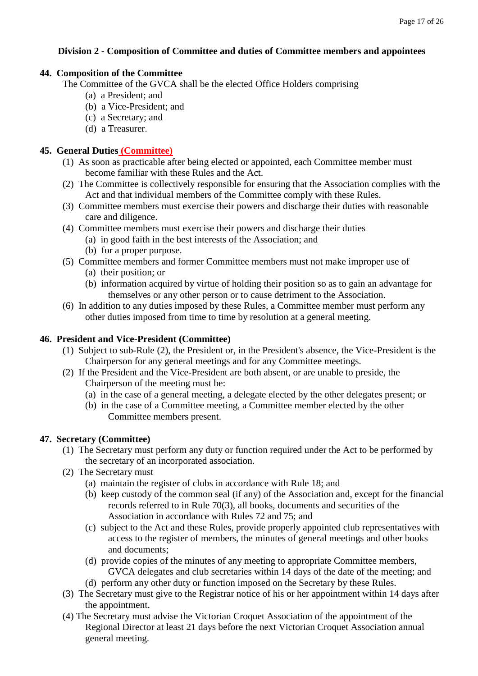# **Division 2 - Composition of Committee and duties of Committee members and appointees**

## **44. Composition of the Committee**

The Committee of the GVCA shall be the elected Office Holders comprising

- (a) a President; and
- (b) a Vice-President; and
- (c) a Secretary; and
- (d) a Treasurer.

## **45. General Duties (Committee)**

- (1) As soon as practicable after being elected or appointed, each Committee member must become familiar with these Rules and the Act.
- (2) The Committee is collectively responsible for ensuring that the Association complies with the Act and that individual members of the Committee comply with these Rules.
- (3) Committee members must exercise their powers and discharge their duties with reasonable care and diligence.
- (4) Committee members must exercise their powers and discharge their duties
	- (a) in good faith in the best interests of the Association; and
	- (b) for a proper purpose.
- (5) Committee members and former Committee members must not make improper use of
	- (a) their position; or
	- (b) information acquired by virtue of holding their position so as to gain an advantage for themselves or any other person or to cause detriment to the Association.
- (6) In addition to any duties imposed by these Rules, a Committee member must perform any other duties imposed from time to time by resolution at a general meeting.

## **46. President and Vice-President (Committee)**

- (1) Subject to sub-Rule (2), the President or, in the President's absence, the Vice-President is the Chairperson for any general meetings and for any Committee meetings.
- (2) If the President and the Vice-President are both absent, or are unable to preside, the Chairperson of the meeting must be:
	- (a) in the case of a general meeting, a delegate elected by the other delegates present; or
	- (b) in the case of a Committee meeting, a Committee member elected by the other Committee members present.

# **47. Secretary (Committee)**

- (1) The Secretary must perform any duty or function required under the Act to be performed by the secretary of an incorporated association.
- (2) The Secretary must
	- (a) maintain the register of clubs in accordance with Rule 18; and
	- (b) keep custody of the common seal (if any) of the Association and, except for the financial records referred to in Rule 70(3), all books, documents and securities of the Association in accordance with Rules 72 and 75; and
	- (c) subject to the Act and these Rules, provide properly appointed club representatives with access to the register of members, the minutes of general meetings and other books and documents;
	- (d) provide copies of the minutes of any meeting to appropriate Committee members, GVCA delegates and club secretaries within 14 days of the date of the meeting; and
	- (d) perform any other duty or function imposed on the Secretary by these Rules.
- (3) The Secretary must give to the Registrar notice of his or her appointment within 14 days after the appointment.
- (4) The Secretary must advise the Victorian Croquet Association of the appointment of the Regional Director at least 21 days before the next Victorian Croquet Association annual general meeting.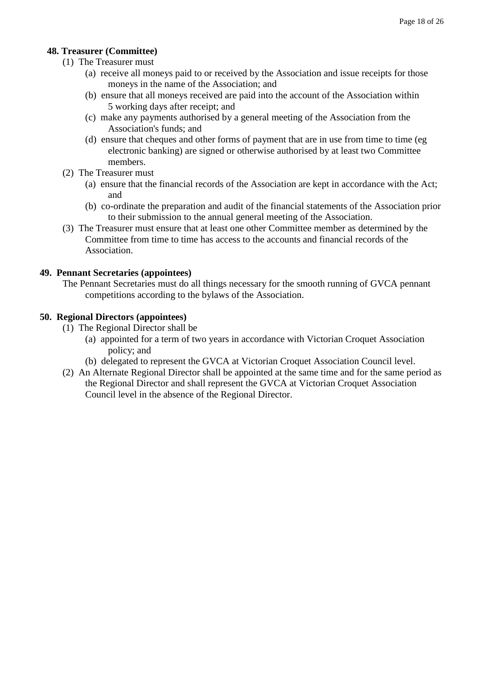# **48. Treasurer (Committee)**

- (1) The Treasurer must
	- (a) receive all moneys paid to or received by the Association and issue receipts for those moneys in the name of the Association; and
	- (b) ensure that all moneys received are paid into the account of the Association within 5 working days after receipt; and
	- (c) make any payments authorised by a general meeting of the Association from the Association's funds; and
	- (d) ensure that cheques and other forms of payment that are in use from time to time (eg electronic banking) are signed or otherwise authorised by at least two Committee members.
- (2) The Treasurer must
	- (a) ensure that the financial records of the Association are kept in accordance with the Act; and
	- (b) co-ordinate the preparation and audit of the financial statements of the Association prior to their submission to the annual general meeting of the Association.
- (3) The Treasurer must ensure that at least one other Committee member as determined by the Committee from time to time has access to the accounts and financial records of the Association.

#### **49. Pennant Secretaries (appointees)**

The Pennant Secretaries must do all things necessary for the smooth running of GVCA pennant competitions according to the bylaws of the Association.

#### **50. Regional Directors (appointees)**

- (1) The Regional Director shall be
	- (a) appointed for a term of two years in accordance with Victorian Croquet Association policy; and
	- (b) delegated to represent the GVCA at Victorian Croquet Association Council level.
- (2) An Alternate Regional Director shall be appointed at the same time and for the same period as the Regional Director and shall represent the GVCA at Victorian Croquet Association Council level in the absence of the Regional Director.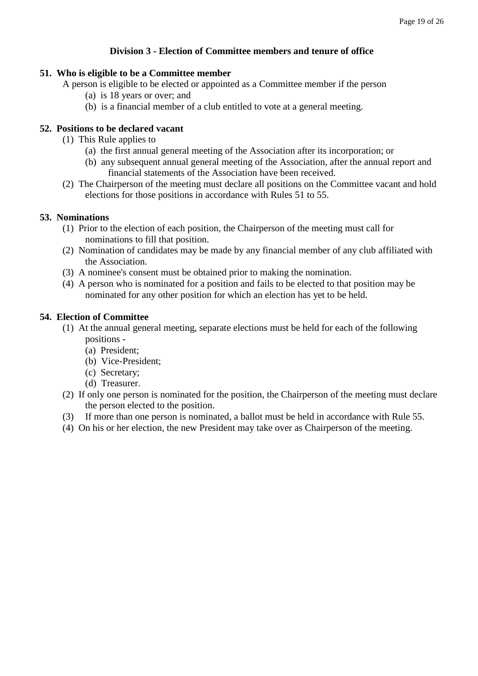#### **Division 3 - Election of Committee members and tenure of office**

#### **51. Who is eligible to be a Committee member**

A person is eligible to be elected or appointed as a Committee member if the person

- (a) is 18 years or over; and
- (b) is a financial member of a club entitled to vote at a general meeting.

## **52. Positions to be declared vacant**

- (1) This Rule applies to
	- (a) the first annual general meeting of the Association after its incorporation; or
	- (b) any subsequent annual general meeting of the Association, after the annual report and financial statements of the Association have been received.
- (2) The Chairperson of the meeting must declare all positions on the Committee vacant and hold elections for those positions in accordance with Rules 51 to 55.

#### **53. Nominations**

- (1) Prior to the election of each position, the Chairperson of the meeting must call for nominations to fill that position.
- (2) Nomination of candidates may be made by any financial member of any club affiliated with the Association.
- (3) A nominee's consent must be obtained prior to making the nomination.
- (4) A person who is nominated for a position and fails to be elected to that position may be nominated for any other position for which an election has yet to be held.

#### **54. Election of Committee**

- (1) At the annual general meeting, separate elections must be held for each of the following positions -
	- (a) President;
	- (b) Vice-President;
	- (c) Secretary;
	- (d) Treasurer.
- (2) If only one person is nominated for the position, the Chairperson of the meeting must declare the person elected to the position.
- (3) If more than one person is nominated, a ballot must be held in accordance with Rule 55.
- (4) On his or her election, the new President may take over as Chairperson of the meeting.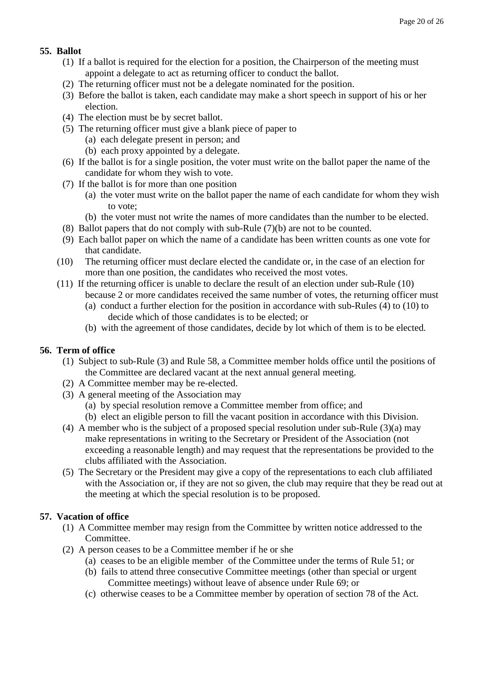# **55. Ballot**

- (1) If a ballot is required for the election for a position, the Chairperson of the meeting must appoint a delegate to act as returning officer to conduct the ballot.
- (2) The returning officer must not be a delegate nominated for the position.
- (3) Before the ballot is taken, each candidate may make a short speech in support of his or her election.
- (4) The election must be by secret ballot.
- (5) The returning officer must give a blank piece of paper to
	- (a) each delegate present in person; and
	- (b) each proxy appointed by a delegate.
- (6) If the ballot is for a single position, the voter must write on the ballot paper the name of the candidate for whom they wish to vote.
- (7) If the ballot is for more than one position
	- (a) the voter must write on the ballot paper the name of each candidate for whom they wish to vote;
	- (b) the voter must not write the names of more candidates than the number to be elected.
- (8) Ballot papers that do not comply with sub-Rule (7)(b) are not to be counted.
- (9) Each ballot paper on which the name of a candidate has been written counts as one vote for that candidate.
- (10) The returning officer must declare elected the candidate or, in the case of an election for more than one position, the candidates who received the most votes.
- (11) If the returning officer is unable to declare the result of an election under sub-Rule (10)
	- because 2 or more candidates received the same number of votes, the returning officer must (a) conduct a further election for the position in accordance with sub-Rules (4) to (10) to
	- decide which of those candidates is to be elected; or
	- (b) with the agreement of those candidates, decide by lot which of them is to be elected.

# **56. Term of office**

- (1) Subject to sub-Rule (3) and Rule 58, a Committee member holds office until the positions of the Committee are declared vacant at the next annual general meeting.
- (2) A Committee member may be re-elected.
- (3) A general meeting of the Association may
	- (a) by special resolution remove a Committee member from office; and
	- (b) elect an eligible person to fill the vacant position in accordance with this Division.
- (4) A member who is the subject of a proposed special resolution under sub-Rule (3)(a) may make representations in writing to the Secretary or President of the Association (not exceeding a reasonable length) and may request that the representations be provided to the clubs affiliated with the Association.
- (5) The Secretary or the President may give a copy of the representations to each club affiliated with the Association or, if they are not so given, the club may require that they be read out at the meeting at which the special resolution is to be proposed.

# **57. Vacation of office**

- (1) A Committee member may resign from the Committee by written notice addressed to the Committee.
- (2) A person ceases to be a Committee member if he or she
	- (a) ceases to be an eligible member of the Committee under the terms of Rule 51; or
	- (b) fails to attend three consecutive Committee meetings (other than special or urgent Committee meetings) without leave of absence under Rule 69; or
	- (c) otherwise ceases to be a Committee member by operation of section 78 of the Act.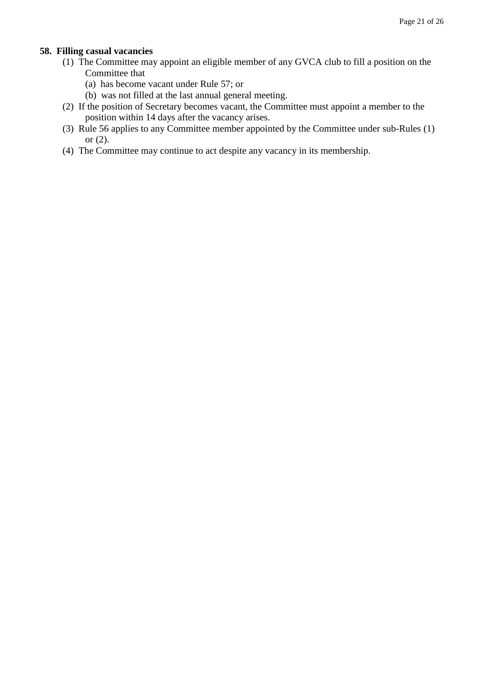#### **58. Filling casual vacancies**

- (1) The Committee may appoint an eligible member of any GVCA club to fill a position on the Committee that
	- (a) has become vacant under Rule 57; or
	- (b) was not filled at the last annual general meeting.
- (2) If the position of Secretary becomes vacant, the Committee must appoint a member to the position within 14 days after the vacancy arises.
- (3) Rule 56 applies to any Committee member appointed by the Committee under sub-Rules (1) or (2).
- (4) The Committee may continue to act despite any vacancy in its membership.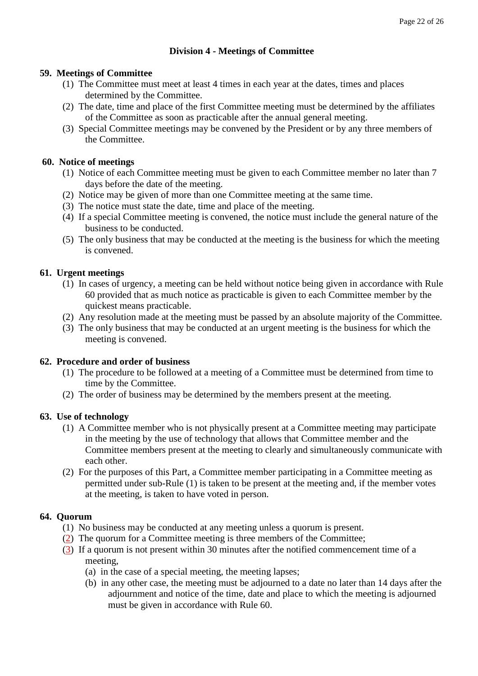# **Division 4 - Meetings of Committee**

#### **59. Meetings of Committee**

- (1) The Committee must meet at least 4 times in each year at the dates, times and places determined by the Committee.
- (2) The date, time and place of the first Committee meeting must be determined by the affiliates of the Committee as soon as practicable after the annual general meeting.
- (3) Special Committee meetings may be convened by the President or by any three members of the Committee.

#### **60. Notice of meetings**

- (1) Notice of each Committee meeting must be given to each Committee member no later than 7 days before the date of the meeting.
- (2) Notice may be given of more than one Committee meeting at the same time.
- (3) The notice must state the date, time and place of the meeting.
- (4) If a special Committee meeting is convened, the notice must include the general nature of the business to be conducted.
- (5) The only business that may be conducted at the meeting is the business for which the meeting is convened.

#### **61. Urgent meetings**

- (1) In cases of urgency, a meeting can be held without notice being given in accordance with Rule 60 provided that as much notice as practicable is given to each Committee member by the quickest means practicable.
- (2) Any resolution made at the meeting must be passed by an absolute majority of the Committee.
- (3) The only business that may be conducted at an urgent meeting is the business for which the meeting is convened.

#### **62. Procedure and order of business**

- (1) The procedure to be followed at a meeting of a Committee must be determined from time to time by the Committee.
- (2) The order of business may be determined by the members present at the meeting.

#### **63. Use of technology**

- (1) A Committee member who is not physically present at a Committee meeting may participate in the meeting by the use of technology that allows that Committee member and the Committee members present at the meeting to clearly and simultaneously communicate with each other.
- (2) For the purposes of this Part, a Committee member participating in a Committee meeting as permitted under sub-Rule (1) is taken to be present at the meeting and, if the member votes at the meeting, is taken to have voted in person.

#### **64. Quorum**

- (1) No business may be conducted at any meeting unless a quorum is present.
- (2) The quorum for a Committee meeting is three members of the Committee;
- (3) If a quorum is not present within 30 minutes after the notified commencement time of a meeting,
	- (a) in the case of a special meeting, the meeting lapses;
	- (b) in any other case, the meeting must be adjourned to a date no later than 14 days after the adjournment and notice of the time, date and place to which the meeting is adjourned must be given in accordance with Rule 60.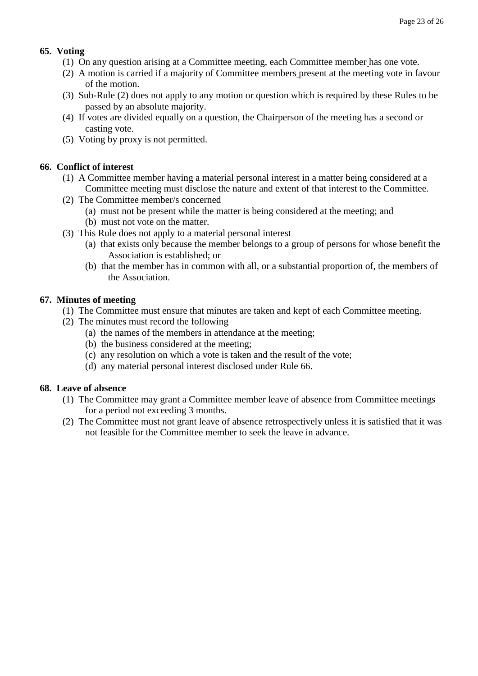# **65. Voting**

- (1) On any question arising at a Committee meeting, each Committee member has one vote.
- (2) A motion is carried if a majority of Committee members present at the meeting vote in favour of the motion.
- (3) Sub-Rule (2) does not apply to any motion or question which is required by these Rules to be passed by an absolute majority.
- (4) If votes are divided equally on a question, the Chairperson of the meeting has a second or casting vote.
- (5) Voting by proxy is not permitted.

# **66. Conflict of interest**

- (1) A Committee member having a material personal interest in a matter being considered at a Committee meeting must disclose the nature and extent of that interest to the Committee.
- (2) The Committee member/s concerned
	- (a) must not be present while the matter is being considered at the meeting; and
	- (b) must not vote on the matter.
- (3) This Rule does not apply to a material personal interest
	- (a) that exists only because the member belongs to a group of persons for whose benefit the Association is established; or
	- (b) that the member has in common with all, or a substantial proportion of, the members of the Association.

#### **67. Minutes of meeting**

- (1) The Committee must ensure that minutes are taken and kept of each Committee meeting.
- (2) The minutes must record the following
	- (a) the names of the members in attendance at the meeting;
	- (b) the business considered at the meeting;
	- (c) any resolution on which a vote is taken and the result of the vote;
	- (d) any material personal interest disclosed under Rule 66.

# **68. Leave of absence**

- (1) The Committee may grant a Committee member leave of absence from Committee meetings for a period not exceeding 3 months.
- (2) The Committee must not grant leave of absence retrospectively unless it is satisfied that it was not feasible for the Committee member to seek the leave in advance.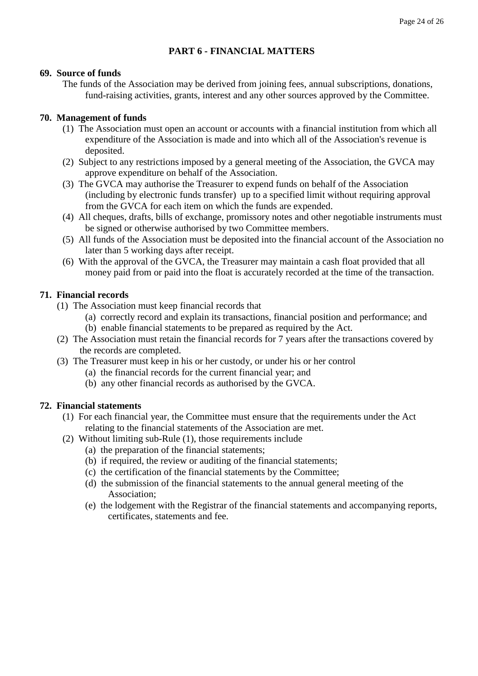# **PART 6 - FINANCIAL MATTERS**

#### **69. Source of funds**

The funds of the Association may be derived from joining fees, annual subscriptions, donations, fund-raising activities, grants, interest and any other sources approved by the Committee.

# **70. Management of funds**

- (1) The Association must open an account or accounts with a financial institution from which all expenditure of the Association is made and into which all of the Association's revenue is deposited.
- (2) Subject to any restrictions imposed by a general meeting of the Association, the GVCA may approve expenditure on behalf of the Association.
- (3) The GVCA may authorise the Treasurer to expend funds on behalf of the Association (including by electronic funds transfer) up to a specified limit without requiring approval from the GVCA for each item on which the funds are expended.
- (4) All cheques, drafts, bills of exchange, promissory notes and other negotiable instruments must be signed or otherwise authorised by two Committee members.
- (5) All funds of the Association must be deposited into the financial account of the Association no later than 5 working days after receipt.
- (6) With the approval of the GVCA, the Treasurer may maintain a cash float provided that all money paid from or paid into the float is accurately recorded at the time of the transaction.

# **71. Financial records**

- (1) The Association must keep financial records that
	- (a) correctly record and explain its transactions, financial position and performance; and
	- (b) enable financial statements to be prepared as required by the Act.
- (2) The Association must retain the financial records for 7 years after the transactions covered by the records are completed.
- (3) The Treasurer must keep in his or her custody, or under his or her control
	- (a) the financial records for the current financial year; and
	- (b) any other financial records as authorised by the GVCA.

# **72. Financial statements**

- (1) For each financial year, the Committee must ensure that the requirements under the Act relating to the financial statements of the Association are met.
- (2) Without limiting sub-Rule (1), those requirements include
	- (a) the preparation of the financial statements;
	- (b) if required, the review or auditing of the financial statements;
	- (c) the certification of the financial statements by the Committee;
	- (d) the submission of the financial statements to the annual general meeting of the Association;
	- (e) the lodgement with the Registrar of the financial statements and accompanying reports, certificates, statements and fee.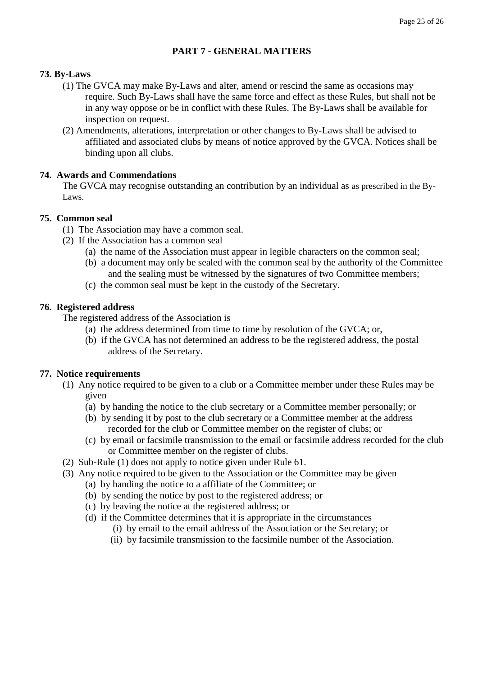# **PART 7 - GENERAL MATTERS**

#### **73. By-Laws**

- (1) The GVCA may make By-Laws and alter, amend or rescind the same as occasions may require. Such By-Laws shall have the same force and effect as these Rules, but shall not be in any way oppose or be in conflict with these Rules. The By-Laws shall be available for inspection on request.
- (2) Amendments, alterations, interpretation or other changes to By-Laws shall be advised to affiliated and associated clubs by means of notice approved by the GVCA. Notices shall be binding upon all clubs.

#### **74. Awards and Commendations**

The GVCA may recognise outstanding an contribution by an individual as as prescribed in the By-Laws.

#### **75. Common seal**

- (1) The Association may have a common seal.
- (2) If the Association has a common seal
	- (a) the name of the Association must appear in legible characters on the common seal;
	- (b) a document may only be sealed with the common seal by the authority of the Committee and the sealing must be witnessed by the signatures of two Committee members;
	- (c) the common seal must be kept in the custody of the Secretary.

#### **76. Registered address**

The registered address of the Association is

- (a) the address determined from time to time by resolution of the GVCA; or,
- (b) if the GVCA has not determined an address to be the registered address, the postal address of the Secretary.

#### **77. Notice requirements**

- (1) Any notice required to be given to a club or a Committee member under these Rules may be given
	- (a) by handing the notice to the club secretary or a Committee member personally; or
	- (b) by sending it by post to the club secretary or a Committee member at the address recorded for the club or Committee member on the register of clubs; or
	- (c) by email or facsimile transmission to the email or facsimile address recorded for the club or Committee member on the register of clubs.
- (2) Sub-Rule (1) does not apply to notice given under Rule 61.
- (3) Any notice required to be given to the Association or the Committee may be given
	- (a) by handing the notice to a affiliate of the Committee; or
	- (b) by sending the notice by post to the registered address; or
	- (c) by leaving the notice at the registered address; or
	- (d) if the Committee determines that it is appropriate in the circumstances
		- (i) by email to the email address of the Association or the Secretary; or
		- (ii) by facsimile transmission to the facsimile number of the Association.